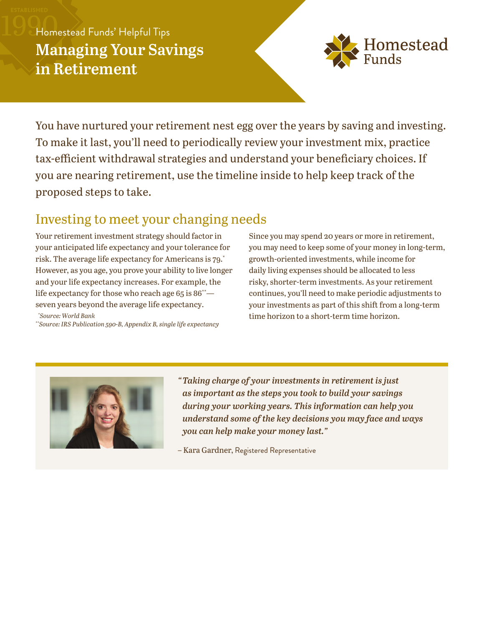# Homestead Funds' Helpful Tips **Managing Your Savings in Retirement**



You have nurtured your retirement nest egg over the years by saving and investing. To make it last, you'll need to periodically review your investment mix, practice tax-efficient withdrawal strategies and understand your beneficiary choices. If you are nearing retirement, use the timeline inside to help keep track of the proposed steps to take.

## Investing to meet your changing needs

Your retirement investment strategy should factor in your anticipated life expectancy and your tolerance for risk. The average life expectancy for Americans is 79. \* However, as you age, you prove your ability to live longer and your life expectancy increases. For example, the life expectancy for those who reach age  $65$  is  $86^*$  seven years beyond the average life expectancy.

*\*Source: World Bank*

*\*\*Source: IRS Publication 590-B, Appendix B, single life expectancy* 

Since you may spend 20 years or more in retirement, you may need to keep some of your money in long-term, growth-oriented investments, while income for daily living expenses should be allocated to less risky, shorter-term investments. As your retirement continues, you'll need to make periodic adjustments to your investments as part of this shift from a long-term time horizon to a short-term time horizon.



*"Taking charge of your investments in retirement is just as important as the steps you took to build your savings during your working years. This information can help you understand some of the key decisions you may face and ways you can help make your money last."*

– Kara Gardner, Registered Representative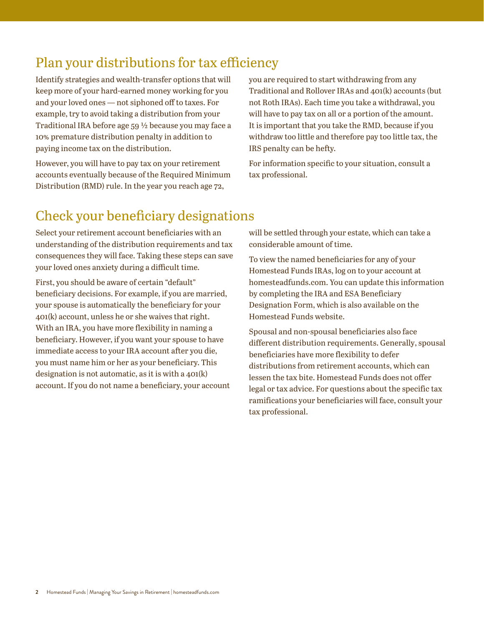## Plan your distributions for tax efficiency

Identify strategies and wealth-transfer options that will keep more of your hard-earned money working for you and your loved ones — not siphoned off to taxes. For example, try to avoid taking a distribution from your Traditional IRA before age 59 ½ because you may face a 10% premature distribution penalty in addition to paying income tax on the distribution.

However, you will have to pay tax on your retirement accounts eventually because of the Required Minimum Distribution (RMD) rule. In the year you reach age 72,

you are required to start withdrawing from any Traditional and Rollover IRAs and 401(k) accounts (but not Roth IRAs). Each time you take a withdrawal, you will have to pay tax on all or a portion of the amount. It is important that you take the RMD, because if you withdraw too little and therefore pay too little tax, the IRS penalty can be hefty.

For information specific to your situation, consult a tax professional.

## Check your beneficiary designations

Select your retirement account beneficiaries with an understanding of the distribution requirements and tax consequences they will face. Taking these steps can save your loved ones anxiety during a difficult time.

First, you should be aware of certain "default" beneficiary decisions. For example, if you are married, your spouse is automatically the beneficiary for your 401(k) account, unless he or she waives that right. With an IRA, you have more flexibility in naming a beneficiary. However, if you want your spouse to have immediate access to your IRA account after you die, you must name him or her as your beneficiary. This designation is not automatic, as it is with a 401(k) account. If you do not name a beneficiary, your account will be settled through your estate, which can take a considerable amount of time.

To view the named beneficiaries for any of your Homestead Funds IRAs, log on to your account at homesteadfunds.com. You can update this information by completing the IRA and ESA Beneficiary Designation Form, which is also available on the Homestead Funds website.

Spousal and non-spousal beneficiaries also face different distribution requirements. Generally, spousal beneficiaries have more flexibility to defer distributions from retirement accounts, which can lessen the tax bite. Homestead Funds does not offer legal or tax advice. For questions about the specific tax ramifications your beneficiaries will face, consult your tax professional.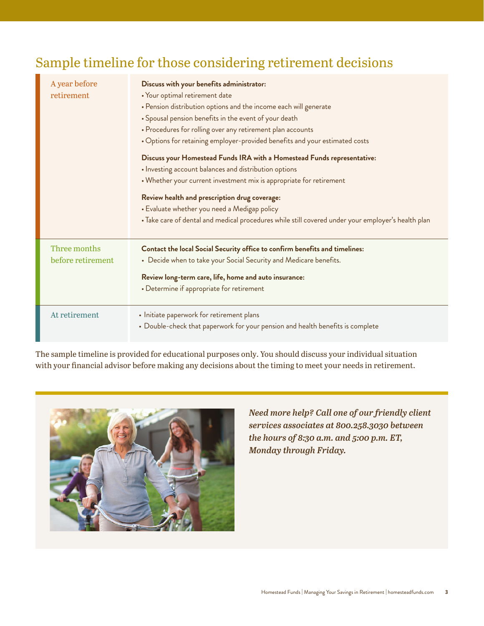## Sample timeline for those considering retirement decisions

| A year before<br>retirement       | Discuss with your benefits administrator:<br>· Your optimal retirement date<br>• Pension distribution options and the income each will generate<br>• Spousal pension benefits in the event of your death<br>• Procedures for rolling over any retirement plan accounts<br>. Options for retaining employer-provided benefits and your estimated costs<br>Discuss your Homestead Funds IRA with a Homestead Funds representative:<br>· Investing account balances and distribution options<br>• Whether your current investment mix is appropriate for retirement<br>Review health and prescription drug coverage:<br>• Evaluate whether you need a Medigap policy<br>· Take care of dental and medical procedures while still covered under your employer's health plan |
|-----------------------------------|-------------------------------------------------------------------------------------------------------------------------------------------------------------------------------------------------------------------------------------------------------------------------------------------------------------------------------------------------------------------------------------------------------------------------------------------------------------------------------------------------------------------------------------------------------------------------------------------------------------------------------------------------------------------------------------------------------------------------------------------------------------------------|
| Three months<br>before retirement | Contact the local Social Security office to confirm benefits and timelines:<br>• Decide when to take your Social Security and Medicare benefits.<br>Review long-term care, life, home and auto insurance:<br>• Determine if appropriate for retirement                                                                                                                                                                                                                                                                                                                                                                                                                                                                                                                  |
| At retirement                     | • Initiate paperwork for retirement plans<br>• Double-check that paperwork for your pension and health benefits is complete                                                                                                                                                                                                                                                                                                                                                                                                                                                                                                                                                                                                                                             |

The sample timeline is provided for educational purposes only. You should discuss your individual situation with your financial advisor before making any decisions about the timing to meet your needs in retirement.



*Need more help? Call one of our friendly client services associates at 800.258.3030 between the hours of 8:30 a.m. and 5:00 p.m. ET, Monday through Friday.*